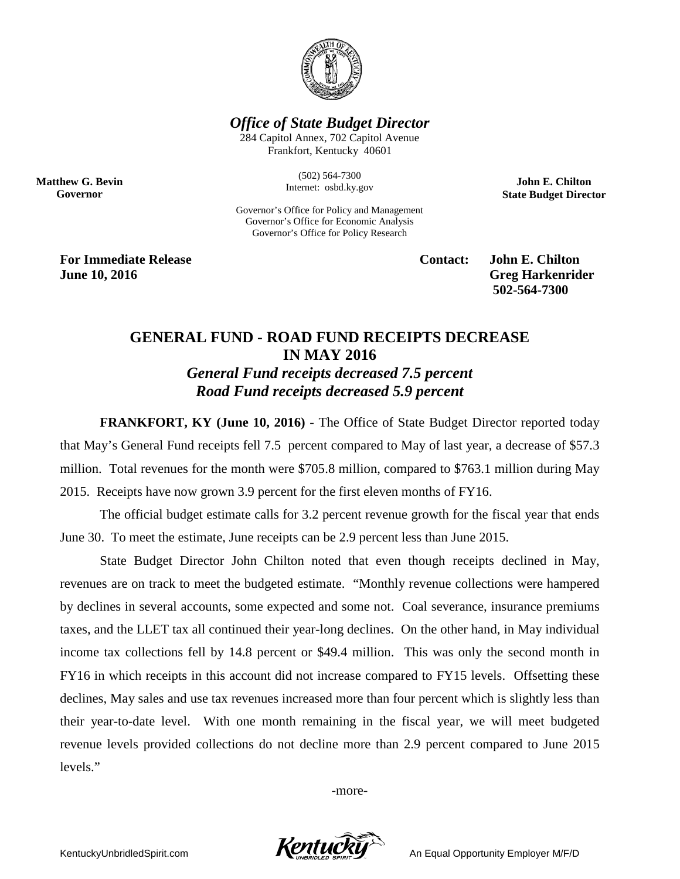

*Office of State Budget Director*

284 Capitol Annex, 702 Capitol Avenue Frankfort, Kentucky 40601

> (502) 564-7300 Internet: osbd.ky.gov

Governor's Office for Policy and Management Governor's Office for Economic Analysis Governor's Office for Policy Research

**John E. Chilton State Budget Director**

**For Immediate Release Contact: John E. Chilton June 10, 2016** Greg Harkenrider

**Matthew G. Bevin Governor**

**502-564-7300** 

## **GENERAL FUND - ROAD FUND RECEIPTS DECREASE IN MAY 2016** *General Fund receipts decreased 7.5 percent Road Fund receipts decreased 5.9 percent*

**FRANKFORT, KY (June 10, 2016)** - The Office of State Budget Director reported today that May's General Fund receipts fell 7.5 percent compared to May of last year, a decrease of \$57.3 million. Total revenues for the month were \$705.8 million, compared to \$763.1 million during May 2015. Receipts have now grown 3.9 percent for the first eleven months of FY16.

The official budget estimate calls for 3.2 percent revenue growth for the fiscal year that ends June 30. To meet the estimate, June receipts can be 2.9 percent less than June 2015.

State Budget Director John Chilton noted that even though receipts declined in May, revenues are on track to meet the budgeted estimate. "Monthly revenue collections were hampered by declines in several accounts, some expected and some not. Coal severance, insurance premiums taxes, and the LLET tax all continued their year-long declines. On the other hand, in May individual income tax collections fell by 14.8 percent or \$49.4 million. This was only the second month in FY16 in which receipts in this account did not increase compared to FY15 levels. Offsetting these declines, May sales and use tax revenues increased more than four percent which is slightly less than their year-to-date level. With one month remaining in the fiscal year, we will meet budgeted revenue levels provided collections do not decline more than 2.9 percent compared to June 2015 levels."

-more-

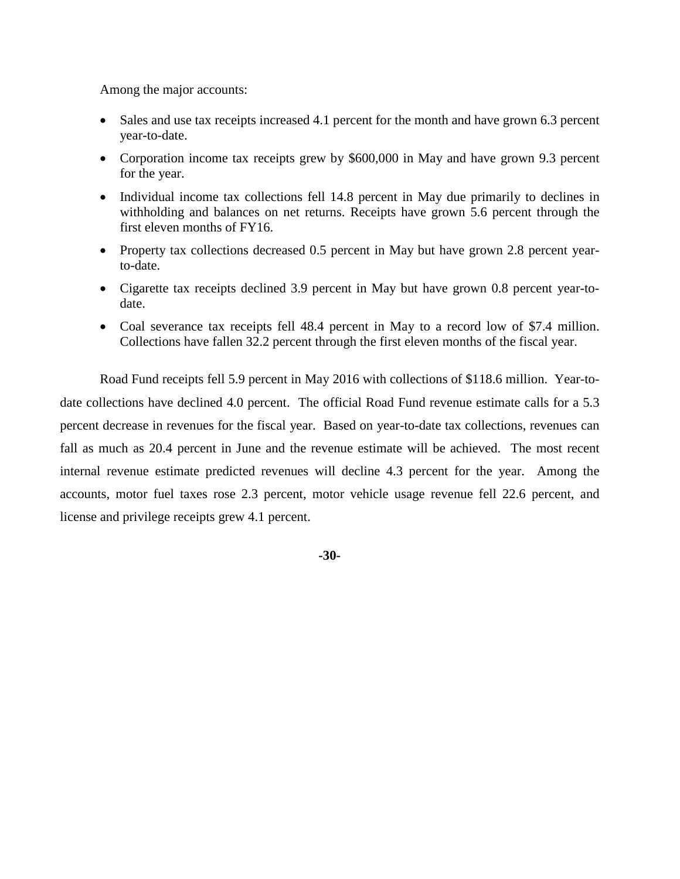Among the major accounts:

- Sales and use tax receipts increased 4.1 percent for the month and have grown 6.3 percent year-to-date.
- Corporation income tax receipts grew by \$600,000 in May and have grown 9.3 percent for the year.
- Individual income tax collections fell 14.8 percent in May due primarily to declines in withholding and balances on net returns. Receipts have grown 5.6 percent through the first eleven months of FY16.
- Property tax collections decreased 0.5 percent in May but have grown 2.8 percent yearto-date.
- Cigarette tax receipts declined 3.9 percent in May but have grown 0.8 percent year-todate.
- Coal severance tax receipts fell 48.4 percent in May to a record low of \$7.4 million. Collections have fallen 32.2 percent through the first eleven months of the fiscal year.

Road Fund receipts fell 5.9 percent in May 2016 with collections of \$118.6 million. Year-todate collections have declined 4.0 percent. The official Road Fund revenue estimate calls for a 5.3 percent decrease in revenues for the fiscal year. Based on year-to-date tax collections, revenues can fall as much as 20.4 percent in June and the revenue estimate will be achieved. The most recent internal revenue estimate predicted revenues will decline 4.3 percent for the year. Among the accounts, motor fuel taxes rose 2.3 percent, motor vehicle usage revenue fell 22.6 percent, and license and privilege receipts grew 4.1 percent.

**-30-**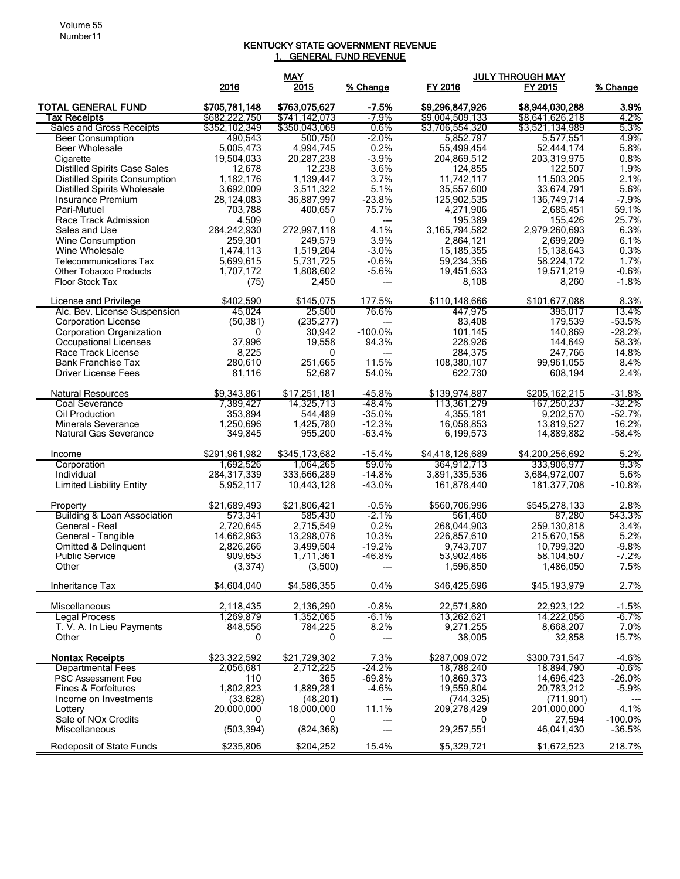## KENTUCKY STATE GOVERNMENT REVENUE 1. GENERAL FUND REVENUE

|                                                  |                                | <b>MAY</b>                     |                  | <b>JULY THROUGH MAY</b>            |                                    |              |
|--------------------------------------------------|--------------------------------|--------------------------------|------------------|------------------------------------|------------------------------------|--------------|
|                                                  | 2016                           | 2015                           | % Change         | FY 2016                            | FY 2015                            | % Change     |
|                                                  |                                |                                |                  |                                    |                                    |              |
| <b>TOTAL GENERAL FUND</b>                        | \$705,781,148                  | \$763,075,627<br>\$741,142,073 | $-7.5%$<br>-7.9% | \$9,296,847,926<br>\$9,004,509,133 | \$8,944,030,288<br>\$8,641,626,218 | 3.9%<br>4.2% |
| <b>Tax Receipts</b><br>Sales and Gross Receipts  | \$682,222,750<br>\$352,102,349 | \$350,043,069                  | 0.6%             | \$3,706,554,320                    | \$3,521,134,989                    | 5.3%         |
|                                                  | 490,543                        | 500,750                        | $-2.0%$          |                                    | 5,577,551                          | 4.9%         |
| <b>Beer Consumption</b><br><b>Beer Wholesale</b> | 5,005,473                      | 4,994,745                      | 0.2%             | 5,852,797<br>55,499,454            | 52,444,174                         | 5.8%         |
|                                                  |                                |                                | $-3.9%$          |                                    |                                    | 0.8%         |
| Cigarette                                        | 19,504,033                     | 20,287,238                     |                  | 204,869,512                        | 203,319,975                        |              |
| <b>Distilled Spirits Case Sales</b>              | 12,678                         | 12,238                         | 3.6%             | 124,855                            | 122,507                            | 1.9%         |
| <b>Distilled Spirits Consumption</b>             | 1,182,176                      | 1,139,447                      | 3.7%             | 11,742,117                         | 11,503,205                         | 2.1%         |
| <b>Distilled Spirits Wholesale</b>               | 3,692,009                      | 3,511,322                      | 5.1%             | 35,557,600                         | 33,674,791                         | 5.6%         |
| Insurance Premium                                | 28,124,083                     | 36,887,997                     | $-23.8%$         | 125,902,535                        | 136,749,714                        | $-7.9%$      |
| Pari-Mutuel                                      | 703,788                        | 400,657                        | 75.7%            | 4,271,906                          | 2,685,451                          | 59.1%        |
| Race Track Admission                             | 4,509                          | $\mathbf{0}$                   | ---              | 195,389                            | 155,426                            | 25.7%        |
| Sales and Use                                    | 284,242,930                    | 272,997,118                    | 4.1%             | 3,165,794,582                      | 2,979,260,693                      | 6.3%         |
| Wine Consumption                                 | 259,301                        | 249,579                        | 3.9%             | 2,864,121                          | 2,699,209                          | 6.1%         |
| Wine Wholesale                                   | 1,474,113                      | 1,519,204                      | $-3.0%$          | 15, 185, 355                       | 15,138,643                         | 0.3%         |
| <b>Telecommunications Tax</b>                    | 5,699,615                      | 5,731,725                      | $-0.6%$          | 59,234,356                         | 58,224,172                         | 1.7%         |
| <b>Other Tobacco Products</b>                    | 1,707,172                      | 1,808,602                      | $-5.6%$          | 19,451,633                         | 19,571,219                         | $-0.6%$      |
| Floor Stock Tax                                  | (75)                           | 2,450                          | ---              | 8,108                              | 8,260                              | $-1.8%$      |
| License and Privilege                            | \$402,590                      | \$145,075                      | 177.5%           | \$110,148,666                      | \$101,677,088                      | 8.3%         |
| Alc. Bev. License Suspension                     | 45.024                         | 25,500                         | 76.6%            | 447,975                            | 395,017                            | 13.4%        |
| <b>Corporation License</b>                       | (50, 381)                      | (235, 277)                     | ---              | 83,408                             | 179,539                            | $-53.5%$     |
| Corporation Organization                         | 0                              | 30,942                         | $-100.0\%$       | 101,145                            | 140,869                            | $-28.2%$     |
| Occupational Licenses                            | 37,996                         | 19,558                         | 94.3%            | 228,926                            | 144,649                            | 58.3%        |
| Race Track License                               | 8,225                          | $\mathbf{0}$                   | ---              | 284,375                            |                                    | 14.8%        |
| <b>Bank Franchise Tax</b>                        | 280,610                        | 251,665                        | 11.5%            | 108,380,107                        | 247,766<br>99.961.055              | 8.4%         |
| <b>Driver License Fees</b>                       | 81,116                         | 52,687                         | 54.0%            |                                    |                                    | 2.4%         |
|                                                  |                                |                                |                  | 622,730                            | 608,194                            |              |
| <b>Natural Resources</b>                         | \$9,343,861                    | \$17,251,181                   | $-45.8%$         | \$139,974,887                      | \$205,162,215                      | $-31.8%$     |
| Coal Severance                                   | 7,389,427                      | 14,325,713                     | $-48.4%$         | 113,361,279                        | 167,250,237                        | $-32.2%$     |
| Oil Production                                   | 353,894                        | 544,489                        | $-35.0%$         | 4,355,181                          | 9,202,570                          | $-52.7%$     |
| <b>Minerals Severance</b>                        | 1,250,696                      | 1,425,780                      | $-12.3%$         | 16,058,853                         | 13,819,527                         | 16.2%        |
| Natural Gas Severance                            | 349,845                        | 955,200                        | $-63.4%$         | 6,199,573                          | 14,889,882                         | $-58.4%$     |
|                                                  |                                |                                |                  |                                    |                                    |              |
| Income                                           | \$291,961,982                  | \$345,173,682                  | $-15.4%$         | \$4,418,126,689                    | \$4,200,256,692                    | 5.2%         |
| Corporation                                      | 1,692,526                      | 1,064,265                      | 59.0%            | 364,912,713                        | 333,906,977                        | 9.3%         |
| Individual                                       | 284,317,339                    | 333,666,289                    | $-14.8%$         | 3,891,335,536                      | 3,684,972,007                      | 5.6%         |
| <b>Limited Liability Entity</b>                  | 5,952,117                      | 10,443,128                     | $-43.0%$         | 161,878,440                        | 181,377,708                        | $-10.8%$     |
| Property                                         | \$21,689,493                   | \$21,806,421                   | $-0.5%$          | \$560,706,996                      | \$545,278,133                      | 2.8%         |
| Building & Loan Association                      | 573,341                        | 585,430                        | $-2.1\%$         | 561,460                            | 87,280                             | 543.3%       |
| General - Real                                   | 2,720,645                      | 2,715,549                      | 0.2%             | 268,044,903                        | 259,130,818                        | 3.4%         |
| General - Tangible                               | 14,662,963                     | 13,298,076                     | 10.3%            | 226,857,610                        | 215,670,158                        | 5.2%         |
| Omitted & Delinquent                             | 2,826,266                      | 3,499,504                      | $-19.2%$         | 9,743,707                          | 10,799,320                         | $-9.8%$      |
| <b>Public Service</b>                            | 909,653                        | 1,711,361                      | -46.8%           | 53,902,466                         | 58,104,507                         | $-7.2%$      |
| Other                                            | (3, 374)                       | (3,500)                        | ---              | 1,596,850                          | 1,486,050                          | 7.5%         |
|                                                  |                                |                                |                  |                                    |                                    |              |
| Inheritance Tax                                  | \$4,604,040                    | \$4,586,355                    | 0.4%             | \$46,425,696                       | \$45,193,979                       | 2.7%         |
| <b>Miscellaneous</b>                             | 2,118,435                      | 2,136,290                      | $-0.8%$          | 22,571,880                         | 22,923,122                         | $-1.5%$      |
| <b>Legal Process</b>                             | 1,269,879                      | 1,352,065                      | $-6.1%$          | 13,262,621                         | 14,222,056                         | $-6.7\%$     |
| T. V. A. In Lieu Payments                        | 848,556                        | 784,225                        | 8.2%             | 9,271,255                          | 8,668,207                          | 7.0%         |
| Other                                            | 0                              | 0                              | ---              | 38,005                             | 32,858                             | 15.7%        |
|                                                  |                                |                                |                  |                                    |                                    |              |
| <b>Nontax Receipts</b>                           | \$23,322,592                   | \$21,729,302                   | 7.3%             | \$287,009,072                      | \$300,731,547                      | $-4.6%$      |
| <b>Departmental Fees</b>                         | 2,056,681                      | 2,712,225                      | -24.2%           | 18,788,240                         | 18,894,790                         | $-0.6\%$     |
| <b>PSC Assessment Fee</b>                        | 110                            | 365                            | $-69.8%$         | 10.869.373                         | 14,696,423                         | $-26.0%$     |
| Fines & Forfeitures                              | 1,802,823                      | 1,889,281                      | $-4.6%$          | 19,559,804                         | 20,783,212                         | $-5.9%$      |
| Income on Investments                            | (33, 628)                      | (48, 201)                      | ---              | (744, 325)                         | (711, 901)                         |              |
| Lottery                                          | 20,000,000                     | 18,000,000                     | 11.1%            | 209,278,429                        | 201,000,000                        | 4.1%         |
| Sale of NO <sub>x</sub> Credits                  | 0                              | 0                              | ---              | 0                                  | 27,594                             | $-100.0\%$   |
| Miscellaneous                                    | (503, 394)                     | (824, 368)                     | ---              | 29,257,551                         | 46,041,430                         | $-36.5%$     |
| <b>Redeposit of State Funds</b>                  | \$235,806                      | \$204,252                      | 15.4%            | \$5,329,721                        | \$1,672,523                        | 218.7%       |
|                                                  |                                |                                |                  |                                    |                                    |              |